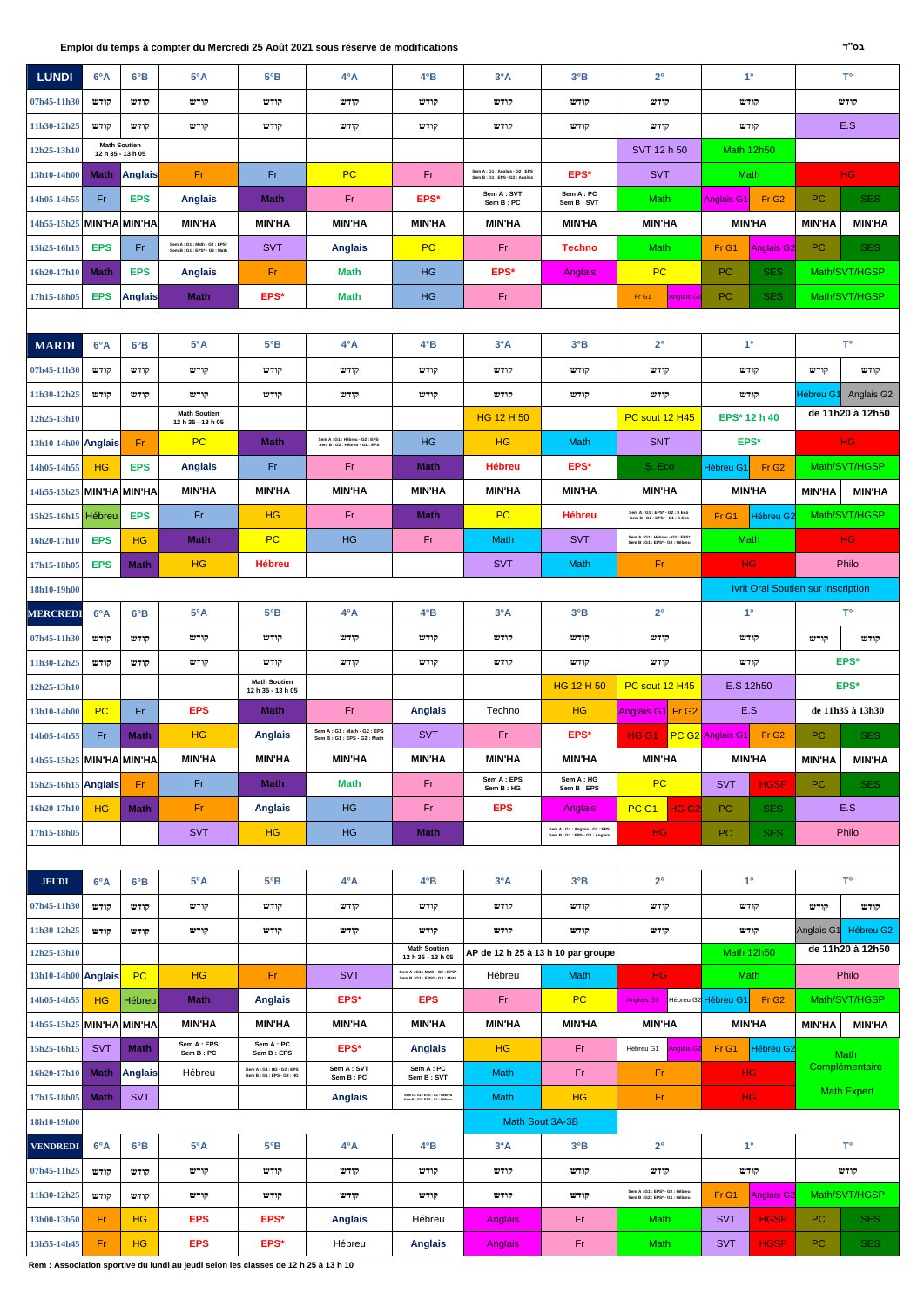**Rem : Association sportive du lundi au jeudi selon les classes de 12 h 25 à 13 h 10**

| <b>LUNDI</b>              | 6°A               | $6^{\circ}B$        | $5^{\circ}$ A                                            | $5^{\circ}B$                             | $4^\circ A$                                                      | $4^{\circ}B$                                             | $3^{\circ}A$                                                 | $3^{\circ}B$                                                       | $2^{\circ}$                                                        | $1^{\circ}$                               |               | $T^{\circ}$            |
|---------------------------|-------------------|---------------------|----------------------------------------------------------|------------------------------------------|------------------------------------------------------------------|----------------------------------------------------------|--------------------------------------------------------------|--------------------------------------------------------------------|--------------------------------------------------------------------|-------------------------------------------|---------------|------------------------|
| 07h45-11h30               | קודש              | הודש                | קודש                                                     | קודש                                     | קודש                                                             | קודש                                                     | קודש                                                         | קודש                                                               | קודש                                                               | קודש                                      |               | קודש                   |
| 11h30-12h25               | קודש              | קודש                | קודש                                                     | קודש                                     | קודש                                                             | קודש                                                     | קודש                                                         | קודש                                                               | קודש                                                               | קודש                                      |               | E.S                    |
| 12h25-13h10               | 12 h 35 - 13 h 05 | <b>Math Soutien</b> |                                                          |                                          |                                                                  |                                                          |                                                              |                                                                    | SVT 12 h 50                                                        | <b>Math 12h50</b>                         |               |                        |
| 13h10-14h00               | Math              | <b>Anglais</b>      | -Fr                                                      | Fr                                       | PC                                                               | Fr                                                       | Sem A: G1: Anglais - G2: EPS<br>Sem B: G1: EPS - G2: Anglais | EPS*                                                               | <b>SVT</b>                                                         | Math                                      |               | H <sub>G</sub>         |
| 14h05-14h55               | Fr                | <b>EPS</b>          | <b>Anglais</b>                                           | <b>Math</b>                              | Fr                                                               | EPS*                                                     | Sem A: SVT<br>Sem B: PC                                      | Sem A: PC<br>Sem B: SVT                                            | Math                                                               | Fr <sub>G2</sub><br>Anglais G1I           | <b>PC</b>     | <b>SES</b>             |
| 14h55-15h25               | MIN'HA MIN'HA     |                     | <b>MIN'HA</b>                                            | <b>MIN'HA</b>                            | <b>MIN'HA</b>                                                    | <b>MIN'HA</b>                                            | <b>MIN'HA</b>                                                | <b>MIN'HA</b>                                                      | <b>MIN'HA</b>                                                      | <b>MIN'HA</b>                             | <b>MIN'HA</b> | <b>MIN'HA</b>          |
| 15h25-16h15               | <b>EPS</b>        | Fr                  | Sem A: G1: Math - G2: EPS*<br>Sem B: G1: EPS* - G2: Math | <b>SVT</b>                               | <b>Anglais</b>                                                   | PC                                                       | <b>Fr</b>                                                    | <b>Techno</b>                                                      | Math                                                               | Fr <sub>G1</sub><br>Anglais G2            | PC            | <b>SES</b>             |
| 16h20-17h10               | <b>Math</b>       | <b>EPS</b>          | <b>Anglais</b>                                           | <b>Fr</b>                                | Math                                                             | <b>HG</b>                                                | EPS*                                                         | Anglais                                                            | <b>PC</b>                                                          | PC<br><b>SES</b>                          |               | Math/SVT/HGSP          |
| 17h15-18h05               | <b>EPS</b>        | <b>Anglais</b>      | <b>Math</b>                                              | EPS*                                     | <b>Math</b>                                                      | <b>HG</b>                                                | Fr                                                           |                                                                    | Fr G1<br><b>Anglais G2</b>                                         | <b>SES</b><br><b>PC</b>                   |               | Math/SVT/HGSP          |
|                           |                   |                     |                                                          |                                          |                                                                  |                                                          |                                                              |                                                                    |                                                                    |                                           |               |                        |
| <b>MARDI</b>              | $6^{\circ}A$      | $6^{\circ}B$        | $5^{\circ}A$                                             | $5^{\circ}B$                             | $4^\circ A$                                                      | $4^{\circ}B$                                             | $3^{\circ}A$                                                 | $3^{\circ}B$                                                       | $2^{\circ}$                                                        | $1^{\circ}$                               |               | $T^{\circ}$            |
| 07h45-11h30               | קודש              | קודש                | קודש                                                     | קודש                                     | קודש                                                             | קודש                                                     | קודש                                                         | קודש                                                               | קודש                                                               | קודש                                      | קודש          | קודש                   |
| 11h30-12h25               | קודש              | קודש                | קודש                                                     | קודש                                     | קודש                                                             | קודש                                                     | קודש                                                         | קודש                                                               | קודש                                                               | קודש                                      | Hébreu G1     | Anglais G <sub>2</sub> |
| 12h25-13h10               |                   |                     | <b>Math Soutien</b><br>12 h 35 - 13 h 05                 |                                          |                                                                  |                                                          | HG 12 H 50                                                   |                                                                    | PC sout 12 H45                                                     | EPS* 12 h 40                              |               | de 11h20 à 12h50       |
| $13h10-14h00$ Anglais     |                   | Fr.                 | PC                                                       | <b>Math</b>                              | Sem A : G1 : Hébreu - G2 : EPS<br>Sem B : G2 : Hébreu - G1 : EPS | <b>HG</b>                                                | <b>HG</b>                                                    | Math                                                               | <b>SNT</b>                                                         | EPS*                                      |               | HG.                    |
| 14h05-14h55               | <b>HG</b>         | <b>EPS</b>          | <b>Anglais</b>                                           | Fr                                       | Fr                                                               | <b>Math</b>                                              | Hébreu                                                       | EPS*                                                               | S. Eco                                                             | Fr <sub>G2</sub><br>Hébreu G1             |               | Math/SVT/HGSP          |
| 14h55-15h25 MIN'HA MIN'HA |                   |                     | <b>MIN'HA</b>                                            | <b>MIN'HA</b>                            | <b>MIN'HA</b>                                                    | <b>MIN'HA</b>                                            | <b>MIN'HA</b>                                                | <b>MIN'HA</b>                                                      | <b>MIN'HA</b>                                                      | <b>MIN'HA</b>                             | <b>MIN'HA</b> | <b>MIN'HA</b>          |
| 15h25-16h15               | <b>Hébreu</b>     | <b>EPS</b>          | Fr.                                                      | <b>HG</b>                                | <b>Fr</b>                                                        | <b>Math</b>                                              | PC                                                           | <b>Hébreu</b>                                                      | Sem A : G1 : EPS* - G2 : S Eco<br>Sem B: G2: EPS* - G1: S Eco      | Fr G1<br>Hébreu G2                        |               | Math/SVT/HGSP          |
| 16h20-17h10               | <b>EPS</b>        | HG                  | <b>Math</b>                                              | PC                                       | HG                                                               | Fr                                                       | <b>Math</b>                                                  | <b>SVT</b>                                                         | Sem A : G1 : Hébreu - G2 : EPS*<br>Sem B : G1 : EPS* - G2 : Hébreu | <b>Math</b>                               |               | <b>HG</b>              |
| 17h15-18h05               | <b>EPS</b>        | <b>Math</b>         | HG                                                       | <b>Hébreu</b>                            |                                                                  |                                                          | <b>SVT</b>                                                   | Math                                                               | Fr.                                                                | HG.                                       |               | Philo                  |
| 18h10-19h00               |                   |                     |                                                          |                                          |                                                                  |                                                          |                                                              |                                                                    |                                                                    | <b>Ivrit Oral Soutien sur inscription</b> |               |                        |
| <b>MERCREDI</b>           | 6°A               | $6^{\circ}B$        | $5^{\circ}A$                                             | $5^{\circ}B$                             | $4^\circ A$                                                      | $4^{\circ}B$                                             | $3^{\circ}A$                                                 | $3^{\circ}B$                                                       | $2^{\circ}$                                                        | $1^{\circ}$                               |               | $T^{\circ}$            |
| 07h45-11h30               | קודש              | קודש                | קודש                                                     | קודש                                     | קודש                                                             | קודש                                                     | קודש                                                         | קודש                                                               | קודש                                                               | קודש                                      | קודש          | קודש                   |
| 11h30-12h25               | קודש              | קודש                | קודש                                                     | קודש                                     | קודש                                                             | קודש                                                     | קודש                                                         | קודש                                                               | קודש                                                               | קודש                                      |               | EPS*                   |
| 12h25-13h10               |                   |                     |                                                          | <b>Math Soutien</b><br>12 h 35 - 13 h 05 |                                                                  |                                                          |                                                              | HG 12 H 50                                                         | PC sout 12 H45                                                     | E.S 12h50                                 |               | EPS*                   |
| 13h10-14h00               | <b>PC</b>         | Fr.                 | <b>EPS</b>                                               | <b>Math</b>                              | Fr.                                                              | <b>Anglais</b>                                           | Techno                                                       | HG                                                                 | Anglais G1 Fr G2                                                   | E.S                                       |               | de 11h35 à 13h30       |
| 14h05-14h55               | Fr                | <b>Math</b>         | HG                                                       | <b>Anglais</b>                           | Sem A: G1: Math - G2: EPS<br>Sem B: G1: EPS - G2: Math           | <b>SVT</b>                                               | Fr.                                                          | EPS*                                                               | HG G1                                                              | PC G2 Anglais G1<br>Fr G <sub>2</sub>     | <b>PC</b>     | <b>SES</b>             |
| 14h55-15h25 MIN'HA MIN'HA |                   |                     | <b>MIN'HA</b>                                            | <b>MIN'HA</b>                            | <b>MIN'HA</b>                                                    | <b>MIN'HA</b>                                            | <b>MIN'HA</b>                                                | <b>MIN'HA</b>                                                      | <b>MIN'HA</b>                                                      | <b>MIN'HA</b>                             | <b>MIN'HA</b> | <b>MIN'HA</b>          |
| 15h25-16h15 Anglais       |                   | Fr.                 | Fr.                                                      | <b>Math</b>                              | <b>Math</b>                                                      | Fr.                                                      | Sem A : EPS<br>Sem B: HG                                     | Sem A : HG<br>Sem B: EPS                                           | <b>PC</b>                                                          | <b>HGSP</b><br><b>SVT</b>                 | <b>PC</b>     | <b>SES</b>             |
| 16h20-17h10               | <b>HG</b>         | <b>Math</b>         | Fr.                                                      | <b>Anglais</b>                           | HG                                                               | Fr.                                                      | <b>EPS</b>                                                   | <b>Anglais</b>                                                     | PC <sub>G1</sub><br>HG G <sub>2</sub>                              | PC.<br><b>SES</b>                         |               | E.S                    |
| 17h15-18h05               |                   |                     | <b>SVT</b>                                               | HG                                       | HG                                                               | <b>Math</b>                                              |                                                              | Sem A : G1 : Anglais - G2 : EPS<br>Sem B : G1 : EPS - G2 : Anglais | HG.                                                                | <b>SES</b><br>PC                          |               | Philo                  |
|                           |                   |                     |                                                          |                                          |                                                                  |                                                          |                                                              |                                                                    |                                                                    |                                           |               |                        |
| <b>JEUDI</b>              | 6°A               | 6°B                 | $5^{\circ}A$                                             | $5^{\circ}B$                             | $4^\circ A$                                                      | $4^{\circ}B$                                             | $3^{\circ}A$                                                 | $3^{\circ}B$                                                       | $2^{\circ}$                                                        | $1^{\circ}$                               |               | $T^{\circ}$            |
| 07h45-11h30               | קודש              | קודש                | קודש                                                     | קודש                                     | קודש                                                             | קודש                                                     | קודש                                                         | קודש                                                               | קודש                                                               | קודש                                      | קודש          | קודש                   |
| 11h30-12h25               | קודש              | קודש                | קודש                                                     | קודש                                     | קודש                                                             | קודש                                                     | קודש                                                         | קודש                                                               | קודש                                                               | קודש                                      | Anglais G1    | Hébreu G2              |
| 12h25-13h10               |                   |                     |                                                          |                                          |                                                                  | <b>Math Soutien</b><br>12 h 35 - 13 h 05                 | AP de 12 h 25 à 13 h 10 par groupe                           |                                                                    |                                                                    | <b>Math 12h50</b>                         |               | de 11h20 à 12h50       |
| 13h10-14h00 Anglais       |                   | <b>PC</b>           | <b>HG</b>                                                | Fr                                       | <b>SVT</b>                                                       | Sem A: G1: Math - G2: EPS*<br>Sem B: G1: EPS* - G2: Math | Hébreu                                                       | Math                                                               | HG                                                                 | Math                                      |               | Philo                  |

| 14h05-14h55               | <b>HG</b>   | Hébreu         | <b>Math</b>             | <b>Anglais</b>                                     | EPS*                    | <b>EPS</b>                                                       | Fr.            | <b>PC</b>       | <b>Anglais G1</b>                                            | Hébreu G2 Hébreu G1 | Fr <sub>G2</sub>  |               | Math/SVT/HGSP      |
|---------------------------|-------------|----------------|-------------------------|----------------------------------------------------|-------------------------|------------------------------------------------------------------|----------------|-----------------|--------------------------------------------------------------|---------------------|-------------------|---------------|--------------------|
| 14h55-15h25 MIN'HA MIN'HA |             |                | <b>MIN'HA</b>           | <b>MIN'HA</b>                                      | <b>MIN'HA</b>           | <b>MIN'HA</b>                                                    | <b>MIN'HA</b>  | <b>MIN'HA</b>   | <b>MIN'HA</b>                                                | <b>MIN'HA</b>       |                   | <b>MIN'HA</b> | <b>MIN'HA</b>      |
| 15h25-16h15               | <b>SVT</b>  | <b>Math</b>    | Sem A: EPS<br>Sem B: PC | Sem A: PC<br>Sem B: EPS                            | EPS*                    | <b>Anglais</b>                                                   | H <sub>G</sub> | Fr              | Hébreu G1<br><b>Anglais G2</b>                               | Fr G1               | Hébreu G2         |               | <b>Math</b>        |
| 16h20-17h10               | <b>Math</b> | <b>Anglais</b> | Hébreu                  | Sem A: G1: HG - G2: EPS<br>Sem B: G1: EPS - G2: HG | Sem A: SVT<br>Sem B: PC | Sem A: PC<br>Sem B: SVT                                          | <b>Math</b>    | Fr              | Fr                                                           | <b>HG</b>           |                   |               | Complémentaire     |
| 17h15-18h05               | <b>Math</b> | <b>SVT</b>     |                         |                                                    | <b>Anglais</b>          | Sem A : G1 : EPS - G2 : Hébreu<br>Sem B : G2 : EPS - G1 : Hébreu | <b>Math</b>    | <b>HG</b>       | Fr                                                           | <b>HG</b>           |                   |               | <b>Math Expert</b> |
| 18h10-19h00               |             |                |                         |                                                    |                         |                                                                  |                | Math Sout 3A-3B |                                                              |                     |                   |               |                    |
| <b>VENDREDI</b>           | 6°A         | $6^{\circ}B$   | $5^{\circ}A$            | $5^{\circ}B$                                       | $4^\circ A$             | $4^{\circ}B$                                                     | $3^\circ A$    | $3^{\circ}B$    | $2^{\circ}$                                                  | $1^{\circ}$         |                   |               | Т°                 |
| 07h45-11h25               | קודש        | קודש           | קודש                    | קודש                                               | קודש                    | קודש                                                             | קודש           | קודש            | קודש                                                         | קודש                |                   |               | קודש               |
| 11h30-12h25               | קודש        | קודש           | קודש                    | קודש                                               | קודש                    | קודש                                                             | קודש           | קודש            | Sem A: G1: EPS* - G2: Hébreu<br>Sem B: G2: EPS* - G1: Hébreu | Fr G1               | <b>Anglais G2</b> |               | Math/SVT/HGSP      |
| 13h00-13h50               | Fr          | HG             | <b>EPS</b>              | EPS*                                               | <b>Anglais</b>          | Hébreu                                                           | <b>Anglais</b> | Fr              | <b>Math</b>                                                  | <b>SVT</b>          | <b>HGSP</b>       | PC.           | <b>SES</b>         |
| 13h55-14h45               | Fr          | <b>HG</b>      | <b>EPS</b>              | EPS*                                               | Hébreu                  | <b>Anglais</b>                                                   | <b>Anglais</b> | Fr              | Math                                                         | <b>SVT</b>          | <b>HGSP</b>       | PC.           | <b>SES</b>         |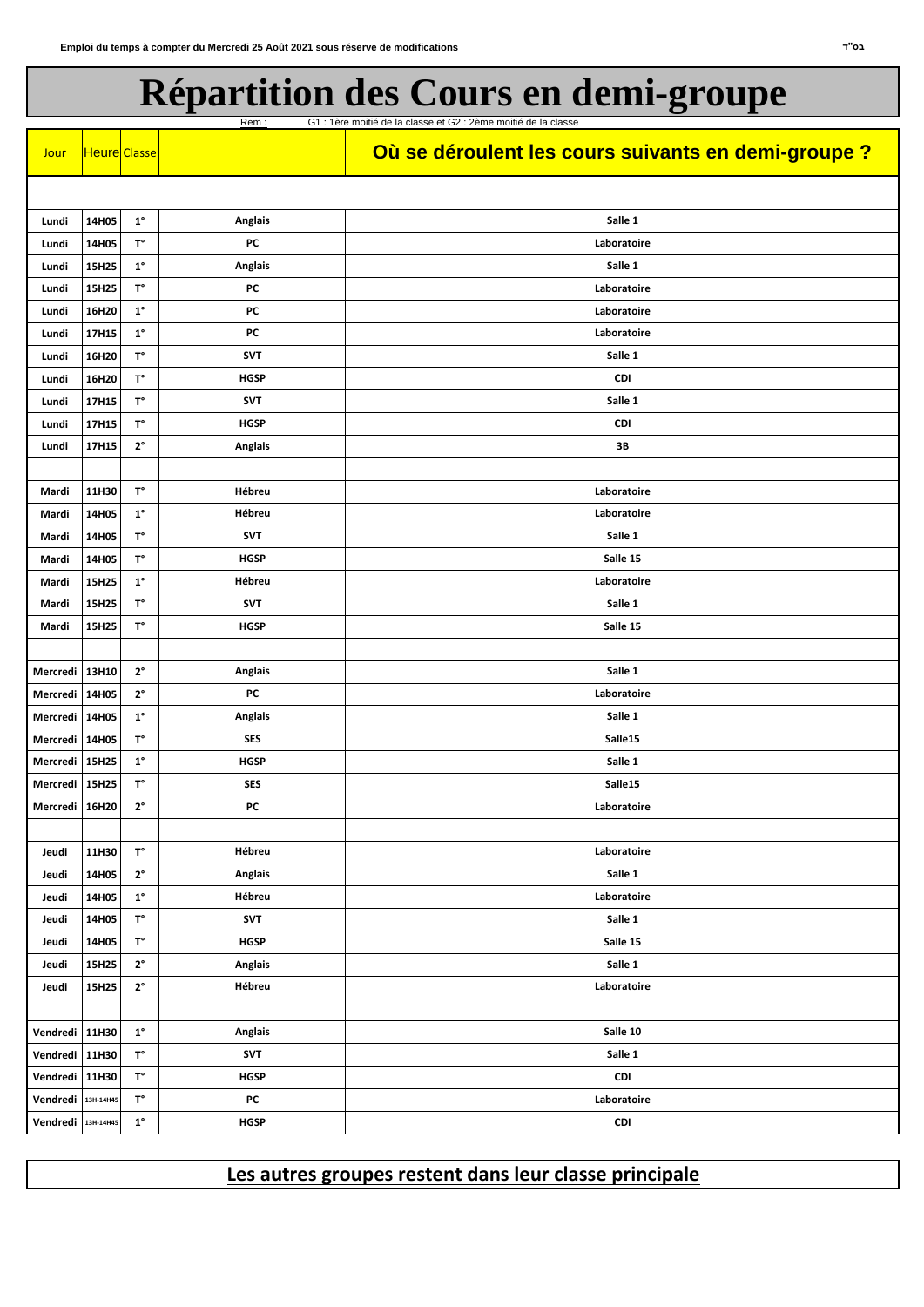| Jour               | Heure Classe |                      |                | Où se déroulent les cours suivants en demi-groupe ? |
|--------------------|--------------|----------------------|----------------|-----------------------------------------------------|
|                    |              |                      |                |                                                     |
| Lundi              | 14H05        | $1^{\circ}$          | <b>Anglais</b> | Salle 1                                             |
| Lundi              | 14H05        | $\mathsf{T}^\circ$   | PC             | Laboratoire                                         |
| Lundi              | 15H25        | $\textbf{1}^{\circ}$ | <b>Anglais</b> | Salle 1                                             |
| Lundi              | 15H25        | $\mathsf{T}^\circ$   | <b>PC</b>      | Laboratoire                                         |
| Lundi              | 16H20        | $1^{\circ}$          | PC             | Laboratoire                                         |
| Lundi              | 17H15        | $\textbf{1}^{\circ}$ | PC             | Laboratoire                                         |
| Lundi              | 16H20        | $\mathsf{T}^\circ$   | <b>SVT</b>     | Salle 1                                             |
| Lundi              | 16H20        | $\mathsf{T}^\circ$   | <b>HGSP</b>    | <b>CDI</b>                                          |
| Lundi              | 17H15        | $\textsf{T}^\circ$   | <b>SVT</b>     | Salle 1                                             |
| Lundi              | 17H15        | $\textsf{T}^\circ$   | <b>HGSP</b>    | <b>CDI</b>                                          |
| Lundi              | 17H15        | $2^{\circ}$          | <b>Anglais</b> | 3B                                                  |
|                    |              |                      |                |                                                     |
| Mardi              | 11H30        | $\mathsf{T}^\circ$   | Hébreu         | Laboratoire                                         |
| Mardi              | 14H05        | $\textbf{1}^{\circ}$ | Hébreu         | Laboratoire                                         |
| Mardi              | 14H05        | $T^{\circ}$          | <b>SVT</b>     | Salle 1                                             |
| Mardi              | 14H05        | $\mathsf{T}^\circ$   | <b>HGSP</b>    | Salle 15                                            |
| Mardi              | 15H25        | $\mathbf{1}^{\circ}$ | Hébreu         | Laboratoire                                         |
| Mardi              | 15H25        | $\mathsf{T}^\circ$   | <b>SVT</b>     | Salle 1                                             |
| Mardi              | 15H25        | $\mathsf{T}^\circ$   | <b>HGSP</b>    | Salle 15                                            |
|                    |              |                      |                |                                                     |
| <b>Mercredi</b>    | 13H10        | $2^{\circ}$          | <b>Anglais</b> | Salle 1                                             |
| Mercredi 14H05     |              | $2^{\circ}$          | PC             | Laboratoire                                         |
| <b>Mercredi</b>    | 14H05        | $1^{\circ}$          | <b>Anglais</b> | Salle 1                                             |
| Mercredi   14H05   |              | $\textsf{T}^\circ$   | <b>SES</b>     | Salle15                                             |
| Mercredi   15H25   |              | $\textbf{1}^{\circ}$ | <b>HGSP</b>    | Salle 1                                             |
| Mercredi   15H25   |              | $\mathsf{T}^\circ$   | <b>SES</b>     | Salle15                                             |
| Mercredi 16H20     |              | $2^{\circ}$          | PC             | Laboratoire                                         |
|                    |              |                      |                |                                                     |
| Jeudi              | 11H30        | $T^{\circ}$          | Hébreu         | Laboratoire                                         |
| Jeudi              | 14H05        | $2^{\circ}$          | <b>Anglais</b> | Salle 1                                             |
| Jeudi              | 14H05        | $1^{\circ}$          | Hébreu         | Laboratoire                                         |
| Jeudi              | 14H05        | $\mathsf{T}^\circ$   | <b>SVT</b>     | Salle 1                                             |
| Jeudi              | 14H05        | $T^{\circ}$          | <b>HGSP</b>    | Salle 15                                            |
| Jeudi              | 15H25        | $2^{\circ}$          | <b>Anglais</b> | Salle 1                                             |
| Jeudi              | 15H25        | $2^{\circ}$          | Hébreu         | Laboratoire                                         |
|                    |              |                      |                |                                                     |
| Vendredi 11H30     |              | $1^{\circ}$          | <b>Anglais</b> | Salle 10                                            |
| Vendredi 11H30     |              | $\mathsf{T}^\circ$   | <b>SVT</b>     | Salle 1                                             |
| Vendredi   11H30   |              | $\mathsf{T}^\circ$   | <b>HGSP</b>    | <b>CDI</b>                                          |
| Vendredi           | 13H-14H45    | $\mathsf{T}^\circ$   | PC             | Laboratoire                                         |
| Vendredi 13H-14H45 |              | $\textbf{1}^{\circ}$ | <b>HGSP</b>    | CDI                                                 |

## **Répartition des Cours en demi-groupe**

Rem : G1 : 1ère moitié de la classe et G2 : 2ème moitié de la classe

## **Les autres groupes restent dans leur classe principale**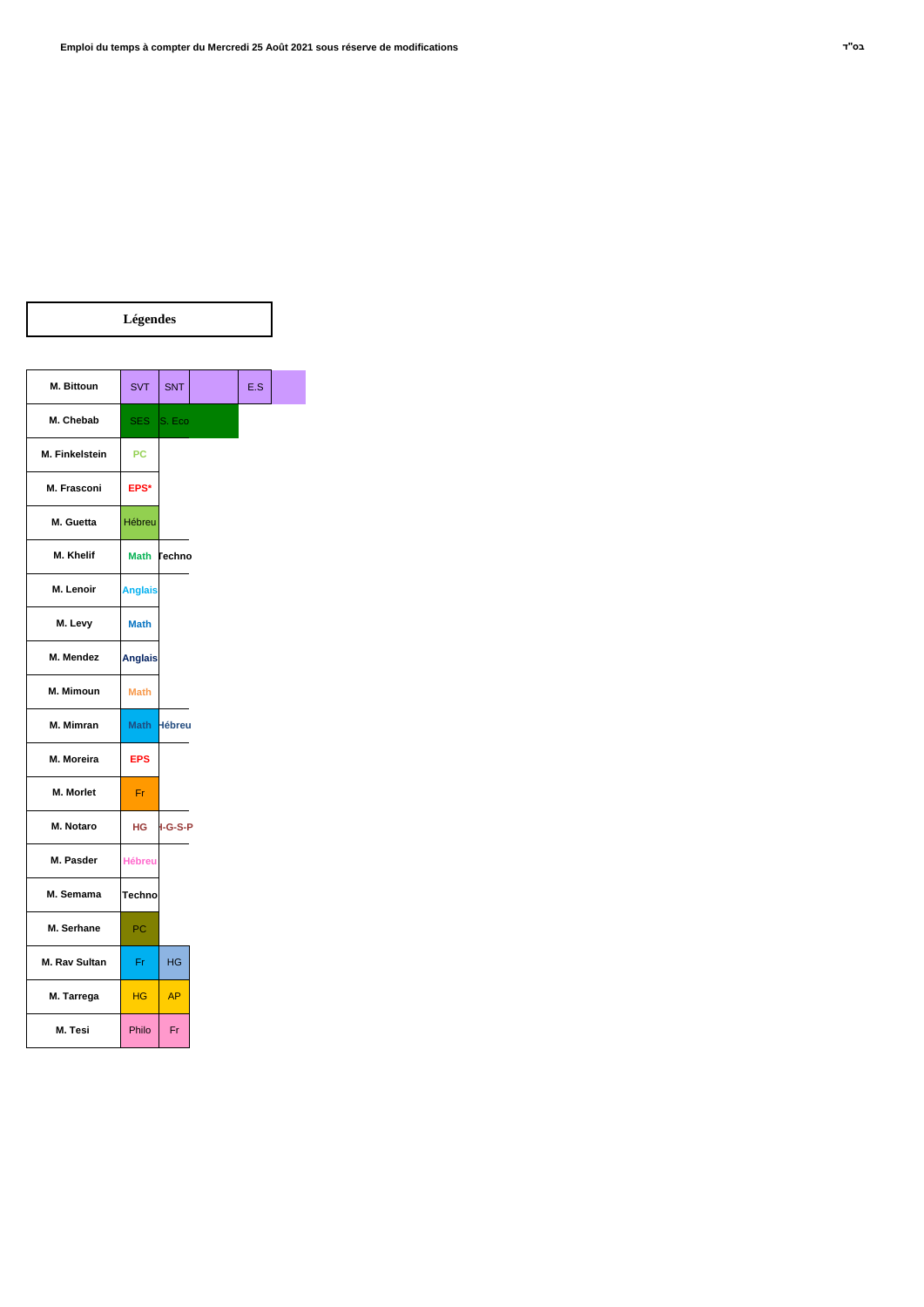$\overline{\phantom{0}}$ 

|                       | Légendes       |               |     |
|-----------------------|----------------|---------------|-----|
|                       |                |               |     |
| M. Bittoun            | <b>SVT</b>     | <b>SNT</b>    | E.S |
| M. Chebab             |                | SES S. Eco    |     |
| <b>M. Finkelstein</b> | <b>PC</b>      |               |     |
| M. Frasconi           | EPS*           |               |     |
| M. Guetta             | Hébreu         |               |     |
| M. Khelif             | <b>Math</b>    | <b>Techno</b> |     |
| M. Lenoir             | <b>Anglais</b> |               |     |
| M. Levy               | <b>Math</b>    |               |     |
| M. Mendez             | <b>Anglais</b> |               |     |
| M. Mimoun             | <b>Math</b>    |               |     |
| M. Mimran             | <b>Math</b>    | <b>Hébreu</b> |     |
| M. Moreira            | <b>EPS</b>     |               |     |
| M. Morlet             | Fr.            |               |     |
| <b>M. Notaro</b>      | HG.            | $1-G-S-P$     |     |
| M. Pasder             | <b>Hébreu</b>  |               |     |
| M. Semama             | <b>Techno</b>  |               |     |
| M. Serhane            | PC             |               |     |
|                       |                |               |     |

| M. Tarrega | HG    |    |
|------------|-------|----|
| M. Tesi    | Philo | Fr |

**M. Rav Sultan**

 $\overline{\phantom{a}}$ 

Fr | HG